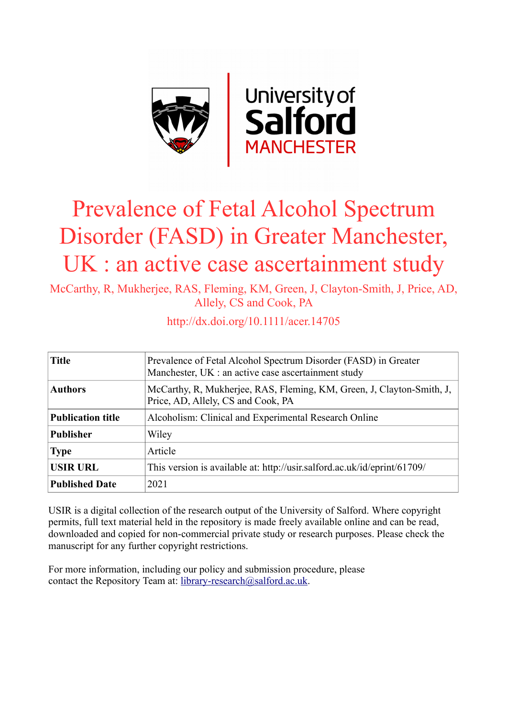

# Prevalence of Fetal Alcohol Spectrum Disorder (FASD) in Greater Manchester, UK : an active case ascertainment study

McCarthy, R, Mukherjee, RAS, Fleming, KM, Green, J, Clayton-Smith, J, Price, AD, Allely, CS and Cook, PA

| <b>Title</b>             | Prevalence of Fetal Alcohol Spectrum Disorder (FASD) in Greater<br>Manchester, UK : an active case ascertainment study |
|--------------------------|------------------------------------------------------------------------------------------------------------------------|
| <b>Authors</b>           | McCarthy, R, Mukherjee, RAS, Fleming, KM, Green, J, Clayton-Smith, J,<br>Price, AD, Allely, CS and Cook, PA            |
| <b>Publication title</b> | Alcoholism: Clinical and Experimental Research Online                                                                  |
| Publisher                | Wiley                                                                                                                  |
| <b>Type</b>              | Article                                                                                                                |
| <b>USIR URL</b>          | This version is available at: http://usir.salford.ac.uk/id/eprint/61709/                                               |
| <b>Published Date</b>    | 2021                                                                                                                   |

http://dx.doi.org/10.1111/acer.14705

USIR is a digital collection of the research output of the University of Salford. Where copyright permits, full text material held in the repository is made freely available online and can be read, downloaded and copied for non-commercial private study or research purposes. Please check the manuscript for any further copyright restrictions.

For more information, including our policy and submission procedure, please contact the Repository Team at: [library-research@salford.ac.uk.](mailto:library-research@salford.ac.uk)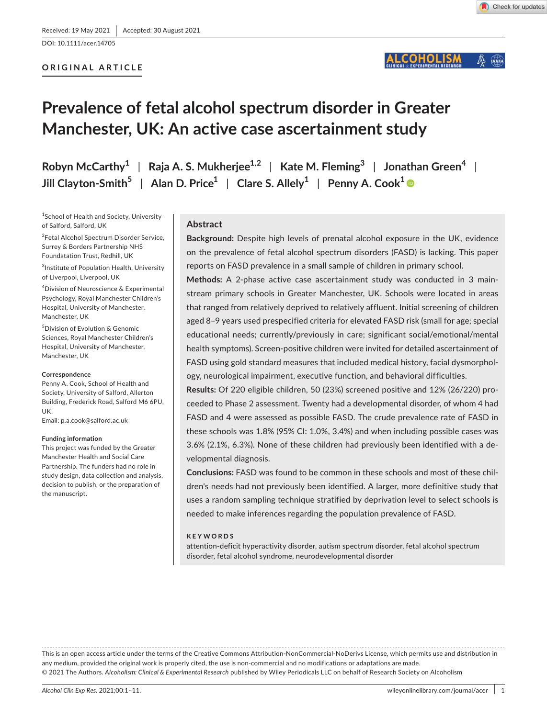DOI: 10.1111/acer.14705

# **ORIGINAL ARTICLE**

#### COHOLISM  $\mathbb{H}$

# **Prevalence of fetal alcohol spectrum disorder in Greater Manchester, UK: An active case ascertainment study**

**Robyn McCarthy1** | **Raja A. S. Mukherjee1,2** | **Kate M. Fleming3** | **Jonathan Green<sup>4</sup>** | **Jill** Clayton-Smith<sup>5</sup> | Alan D. Price<sup>1</sup> | Clare S. Allely<sup>1</sup> | Penny A. Cook<sup>1</sup>

<sup>1</sup>School of Health and Society, University of Salford, Salford, UK

<sup>2</sup>Fetal Alcohol Spectrum Disorder Service, Surrey & Borders Partnership NHS Foundatation Trust, Redhill, UK

3 Institute of Population Health, University of Liverpool, Liverpool, UK

4 Division of Neuroscience & Experimental Psychology, Royal Manchester Children's Hospital, University of Manchester, Manchester, UK

5 Division of Evolution & Genomic Sciences, Royal Manchester Children's Hospital, University of Manchester, Manchester, UK

#### **Correspondence**

Penny A. Cook, School of Health and Society, University of Salford, Allerton Building, Frederick Road, Salford M6 6PU, UK.

Email: [p.a.cook@salford.ac.uk](mailto:p.a.cook@salford.ac.uk)

#### **Funding information**

This project was funded by the Greater Manchester Health and Social Care Partnership. The funders had no role in study design, data collection and analysis, decision to publish, or the preparation of the manuscript.

# **Abstract**

**Background:** Despite high levels of prenatal alcohol exposure in the UK, evidence on the prevalence of fetal alcohol spectrum disorders (FASD) is lacking. This paper reports on FASD prevalence in a small sample of children in primary school.

**Methods:** A 2-phase active case ascertainment study was conducted in 3 mainstream primary schools in Greater Manchester, UK. Schools were located in areas that ranged from relatively deprived to relatively affluent. Initial screening of children aged 8–9 years used prespecified criteria for elevated FASD risk (small for age; special educational needs; currently/previously in care; significant social/emotional/mental health symptoms). Screen-positive children were invited for detailed ascertainment of FASD using gold standard measures that included medical history, facial dysmorphology, neurological impairment, executive function, and behavioral difficulties.

**Results:** Of 220 eligible children, 50 (23%) screened positive and 12% (26/220) proceeded to Phase 2 assessment. Twenty had a developmental disorder, of whom 4 had FASD and 4 were assessed as possible FASD. The crude prevalence rate of FASD in these schools was 1.8% (95% CI: 1.0%, 3.4%) and when including possible cases was 3.6% (2.1%, 6.3%). None of these children had previously been identified with a developmental diagnosis.

**Conclusions:** FASD was found to be common in these schools and most of these children's needs had not previously been identified. A larger, more definitive study that uses a random sampling technique stratified by deprivation level to select schools is needed to make inferences regarding the population prevalence of FASD.

#### **KEYWORDS**

attention-deficit hyperactivity disorder, autism spectrum disorder, fetal alcohol spectrum disorder, fetal alcohol syndrome, neurodevelopmental disorder

This is an open access article under the terms of the [Creative Commons Attribution-NonCommercial-NoDerivs](http://creativecommons.org/licenses/by-nc-nd/4.0/) License, which permits use and distribution in any medium, provided the original work is properly cited, the use is non-commercial and no modifications or adaptations are made. © 2021 The Authors. *Alcoholism: Clinical & Experimental Research* published by Wiley Periodicals LLC on behalf of Research Society on Alcoholism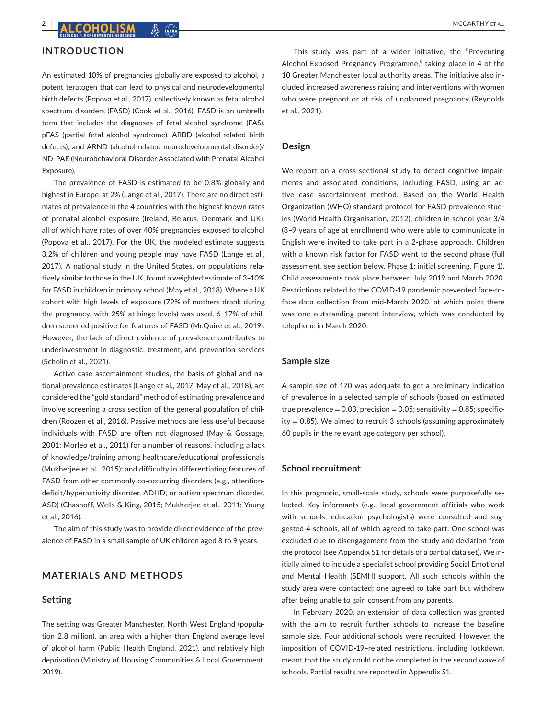# **INTRODUCTION**

An estimated 10% of pregnancies globally are exposed to alcohol, a potent teratogen that can lead to physical and neurodevelopmental birth defects (Popova et al., 2017), collectively known as fetal alcohol spectrum disorders (FASD) (Cook et al., 2016). FASD is an umbrella term that includes the diagnoses of fetal alcohol syndrome (FAS), pFAS (partial fetal alcohol syndrome), ARBD (alcohol-related birth defects), and ARND (alcohol-related neurodevelopmental disorder)/ ND-PAE (Neurobehavioral Disorder Associated with Prenatal Alcohol Exposure).

The prevalence of FASD is estimated to be 0.8% globally and highest in Europe, at 2% (Lange et al., 2017). There are no direct estimates of prevalence in the 4 countries with the highest known rates of prenatal alcohol exposure (Ireland, Belarus, Denmark and UK), all of which have rates of over 40% pregnancies exposed to alcohol (Popova et al., 2017). For the UK, the modeled estimate suggests 3.2% of children and young people may have FASD (Lange et al., 2017). A national study in the United States, on populations relatively similar to those in the UK, found a weighted estimate of 3–10% for FASD in children in primary school (May et al., 2018). Where a UK cohort with high levels of exposure (79% of mothers drank during the pregnancy, with 25% at binge levels) was used, 6–17% of children screened positive for features of FASD (McQuire et al., 2019). However, the lack of direct evidence of prevalence contributes to underinvestment in diagnostic, treatment, and prevention services (Scholin et al., 2021).

Active case ascertainment studies, the basis of global and national prevalence estimates (Lange et al., 2017; May et al., 2018), are considered the "gold standard" method of estimating prevalence and involve screening a cross section of the general population of children (Roozen et al., 2016). Passive methods are less useful because individuals with FASD are often not diagnosed (May & Gossage, 2001; Morleo et al., 2011) for a number of reasons, including a lack of knowledge/training among healthcare/educational professionals (Mukherjee et al., 2015); and difficulty in differentiating features of FASD from other commonly co-occurring disorders (e.g., attentiondeficit/hyperactivity disorder, ADHD, or autism spectrum disorder, ASD) (Chasnoff, Wells & King, 2015; Mukherjee et al., 2011; Young et al., 2016).

The aim of this study was to provide direct evidence of the prevalence of FASD in a small sample of UK children aged 8 to 9 years.

# **MATERIALS AND METHODS**

#### **Setting**

The setting was Greater Manchester, North West England (population 2.8 million), an area with a higher than England average level of alcohol harm (Public Health England, 2021), and relatively high deprivation (Ministry of Housing Communities & Local Government, 2019).

This study was part of a wider initiative, the "Preventing Alcohol Exposed Pregnancy Programme," taking place in 4 of the 10 Greater Manchester local authority areas. The initiative also included increased awareness raising and interventions with women who were pregnant or at risk of unplanned pregnancy (Reynolds et al., 2021).

#### **Design**

We report on a cross-sectional study to detect cognitive impairments and associated conditions, including FASD, using an active case ascertainment method. Based on the World Health Organization (WHO) standard protocol for FASD prevalence studies (World Health Organisation, 2012), children in school year 3/4 (8–9 years of age at enrollment) who were able to communicate in English were invited to take part in a 2-phase approach. Children with a known risk factor for FASD went to the second phase (full assessment, see section below, Phase 1: initial screening, Figure 1). Child assessments took place between July 2019 and March 2020. Restrictions related to the COVID-19 pandemic prevented face-toface data collection from mid-March 2020, at which point there was one outstanding parent interview, which was conducted by telephone in March 2020.

#### **Sample size**

A sample size of 170 was adequate to get a preliminary indication of prevalence in a selected sample of schools (based on estimated true prevalence =  $0.03$ , precision =  $0.05$ ; sensitivity =  $0.85$ ; specificity  $= 0.85$ ). We aimed to recruit 3 schools (assuming approximately 60 pupils in the relevant age category per school).

# **School recruitment**

In this pragmatic, small-scale study, schools were purposefully selected. Key informants (e.g., local government officials who work with schools, education psychologists) were consulted and suggested 4 schools, all of which agreed to take part. One school was excluded due to disengagement from the study and deviation from the protocol (see Appendix S1 for details of a partial data set). We initially aimed to include a specialist school providing Social Emotional and Mental Health (SEMH) support. All such schools within the study area were contacted; one agreed to take part but withdrew after being unable to gain consent from any parents.

In February 2020, an extension of data collection was granted with the aim to recruit further schools to increase the baseline sample size. Four additional schools were recruited. However, the imposition of COVID-19–related restrictions, including lockdown, meant that the study could not be completed in the second wave of schools. Partial results are reported in Appendix S1.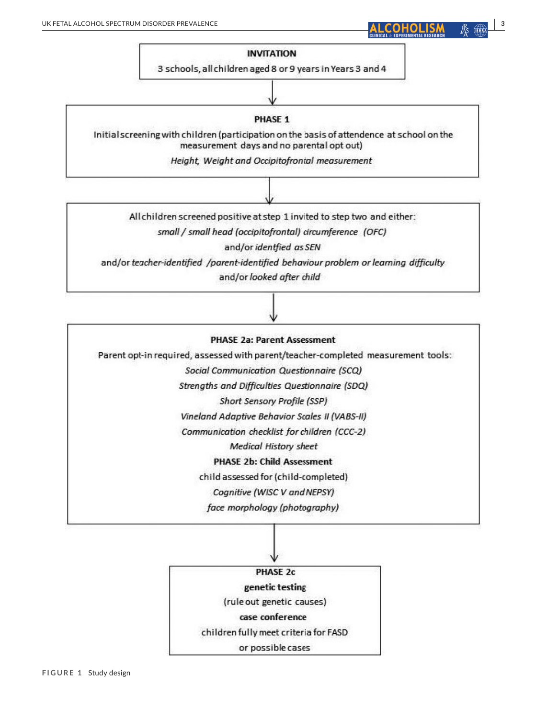# **INVITATION**

3 schools, all children aged 8 or 9 years in Years 3 and 4

# PHASE 1

Initial screening with children (participation on the basis of attendence at school on the measurement days and no parental opt out)

Height, Weight and Occipitofrontal measurement

All children screened positive at step 1 invited to step two and either:

small / small head (occipitofrontal) circumference (OFC)

and/or identfied as SEN

and/or teacher-identified /parent-identified behaviour problem or learning difficulty and/or looked after child

# **PHASE 2a: Parent Assessment**

Parent opt-in required, assessed with parent/teacher-completed measurement tools:

Social Communication Questionnaire (SCQ)

Strengths and Difficulties Questionnaire (SDQ)

Short Sensory Profile (SSP)

Vineland Adaptive Behavior Scales II (VABS-II)

Communication checklist for children (CCC-2)

**Medical History sheet** 

**PHASE 2b: Child Assessment** 

child assessed for (child-completed)

Cognitive (WISC V and NEPSY)

face morphology (photography)

**PHASE 2c** genetic testing

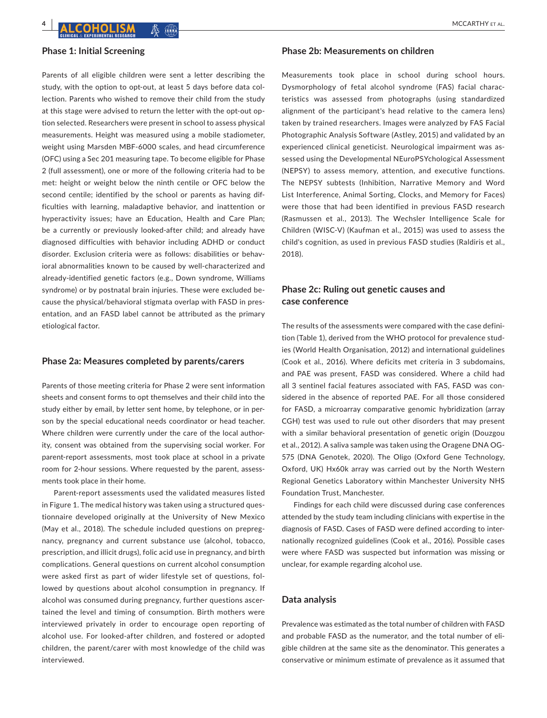# **Phase 1: Initial Screening**

Parents of all eligible children were sent a letter describing the study, with the option to opt-out, at least 5 days before data collection. Parents who wished to remove their child from the study at this stage were advised to return the letter with the opt-out option selected. Researchers were present in school to assess physical measurements. Height was measured using a mobile stadiometer, weight using Marsden MBF-6000 scales, and head circumference (OFC) using a Sec 201 measuring tape. To become eligible for Phase 2 (full assessment), one or more of the following criteria had to be met: height or weight below the ninth centile or OFC below the second centile; identified by the school or parents as having difficulties with learning, maladaptive behavior, and inattention or hyperactivity issues; have an Education, Health and Care Plan; be a currently or previously looked-after child; and already have diagnosed difficulties with behavior including ADHD or conduct disorder. Exclusion criteria were as follows: disabilities or behavioral abnormalities known to be caused by well-characterized and already-identified genetic factors (e.g., Down syndrome, Williams syndrome) or by postnatal brain injuries. These were excluded because the physical/behavioral stigmata overlap with FASD in presentation, and an FASD label cannot be attributed as the primary etiological factor.

# **Phase 2a: Measures completed by parents/carers**

Parents of those meeting criteria for Phase 2 were sent information sheets and consent forms to opt themselves and their child into the study either by email, by letter sent home, by telephone, or in person by the special educational needs coordinator or head teacher. Where children were currently under the care of the local authority, consent was obtained from the supervising social worker. For parent-report assessments, most took place at school in a private room for 2-hour sessions. Where requested by the parent, assessments took place in their home.

Parent-report assessments used the validated measures listed in Figure 1. The medical history was taken using a structured questionnaire developed originally at the University of New Mexico (May et al., 2018). The schedule included questions on prepregnancy, pregnancy and current substance use (alcohol, tobacco, prescription, and illicit drugs), folic acid use in pregnancy, and birth complications. General questions on current alcohol consumption were asked first as part of wider lifestyle set of questions, followed by questions about alcohol consumption in pregnancy. If alcohol was consumed during pregnancy, further questions ascertained the level and timing of consumption. Birth mothers were interviewed privately in order to encourage open reporting of alcohol use. For looked-after children, and fostered or adopted children, the parent/carer with most knowledge of the child was interviewed.

# **Phase 2b: Measurements on children**

Measurements took place in school during school hours. Dysmorphology of fetal alcohol syndrome (FAS) facial characteristics was assessed from photographs (using standardized alignment of the participant's head relative to the camera lens) taken by trained researchers. Images were analyzed by FAS Facial Photographic Analysis Software (Astley, 2015) and validated by an experienced clinical geneticist. Neurological impairment was assessed using the Developmental NEuroPSYchological Assessment (NEPSY) to assess memory, attention, and executive functions. The NEPSY subtests (Inhibition, Narrative Memory and Word List Interference, Animal Sorting, Clocks, and Memory for Faces) were those that had been identified in previous FASD research (Rasmussen et al., 2013). The Wechsler Intelligence Scale for Children (WISC-V) (Kaufman et al., 2015) was used to assess the child's cognition, as used in previous FASD studies (Raldiris et al., 2018).

# **Phase 2c: Ruling out genetic causes and case conference**

The results of the assessments were compared with the case definition (Table 1), derived from the WHO protocol for prevalence studies (World Health Organisation, 2012) and international guidelines (Cook et al., 2016). Where deficits met criteria in 3 subdomains, and PAE was present, FASD was considered. Where a child had all 3 sentinel facial features associated with FAS, FASD was considered in the absence of reported PAE. For all those considered for FASD, a microarray comparative genomic hybridization (array CGH) test was used to rule out other disorders that may present with a similar behavioral presentation of genetic origin (Douzgou et al., 2012). A saliva sample was taken using the Oragene DNA OG-575 (DNA Genotek, 2020). The Oligo (Oxford Gene Technology, Oxford, UK) Hx60k array was carried out by the North Western Regional Genetics Laboratory within Manchester University NHS Foundation Trust, Manchester.

Findings for each child were discussed during case conferences attended by the study team including clinicians with expertise in the diagnosis of FASD. Cases of FASD were defined according to internationally recognized guidelines (Cook et al., 2016). Possible cases were where FASD was suspected but information was missing or unclear, for example regarding alcohol use.

# **Data analysis**

Prevalence was estimated as the total number of children with FASD and probable FASD as the numerator, and the total number of eligible children at the same site as the denominator. This generates a conservative or minimum estimate of prevalence as it assumed that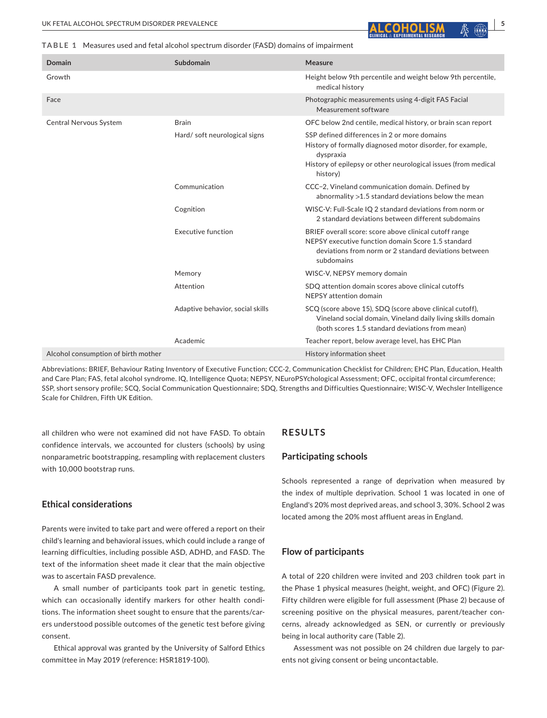**TABLE 1** Measures used and fetal alcohol spectrum disorder (FASD) domains of impairment

| <b>Domain</b>                       | Subdomain                        | Measure                                                                                                                                                                                               |
|-------------------------------------|----------------------------------|-------------------------------------------------------------------------------------------------------------------------------------------------------------------------------------------------------|
| Growth                              |                                  | Height below 9th percentile and weight below 9th percentile,<br>medical history                                                                                                                       |
| Face                                |                                  | Photographic measurements using 4-digit FAS Facial<br>Measurement software                                                                                                                            |
| Central Nervous System              | <b>Brain</b>                     | OFC below 2nd centile, medical history, or brain scan report                                                                                                                                          |
|                                     | Hard/soft neurological signs     | SSP defined differences in 2 or more domains<br>History of formally diagnosed motor disorder, for example,<br>dyspraxia<br>History of epilepsy or other neurological issues (from medical<br>history) |
|                                     | Communication                    | CCC-2, Vineland communication domain. Defined by<br>abnormality $>1.5$ standard deviations below the mean                                                                                             |
|                                     | Cognition                        | WISC-V: Full-Scale IQ 2 standard deviations from norm or<br>2 standard deviations between different subdomains                                                                                        |
|                                     | <b>Executive function</b>        | BRIEF overall score: score above clinical cutoff range<br>NEPSY executive function domain Score 1.5 standard<br>deviations from norm or 2 standard deviations between<br>subdomains                   |
|                                     | Memory                           | WISC-V, NEPSY memory domain                                                                                                                                                                           |
|                                     | Attention                        | SDQ attention domain scores above clinical cutoffs<br>NEPSY attention domain                                                                                                                          |
|                                     | Adaptive behavior, social skills | SCQ (score above 15), SDQ (score above clinical cutoff),<br>Vineland social domain, Vineland daily living skills domain<br>(both scores 1.5 standard deviations from mean)                            |
|                                     | Academic                         | Teacher report, below average level, has EHC Plan                                                                                                                                                     |
| Alcohol consumption of birth mother |                                  | History information sheet                                                                                                                                                                             |

Abbreviations: BRIEF, Behaviour Rating Inventory of Executive Function; CCC-2, Communication Checklist for Children; EHC Plan, Education, Health and Care Plan; FAS, fetal alcohol syndrome. IQ, Intelligence Quota; NEPSY, NEuroPSYchological Assessment; OFC, occipital frontal circumference; SSP, short sensory profile; SCQ, Social Communication Questionnaire; SDQ, Strengths and Difficulties Questionnaire; WISC-V, Wechsler Intelligence Scale for Children, Fifth UK Edition.

all children who were not examined did not have FASD. To obtain confidence intervals, we accounted for clusters (schools) by using nonparametric bootstrapping, resampling with replacement clusters with 10,000 bootstrap runs.

# **Ethical considerations**

Parents were invited to take part and were offered a report on their child's learning and behavioral issues, which could include a range of learning difficulties, including possible ASD, ADHD, and FASD. The text of the information sheet made it clear that the main objective was to ascertain FASD prevalence.

A small number of participants took part in genetic testing, which can occasionally identify markers for other health conditions. The information sheet sought to ensure that the parents/carers understood possible outcomes of the genetic test before giving consent.

Ethical approval was granted by the University of Salford Ethics committee in May 2019 (reference: HSR1819-100).

# **RESULTS**

#### **Participating schools**

Schools represented a range of deprivation when measured by the index of multiple deprivation. School 1 was located in one of England's 20% most deprived areas, and school 3, 30%. School 2 was located among the 20% most affluent areas in England.

# **Flow of participants**

A total of 220 children were invited and 203 children took part in the Phase 1 physical measures (height, weight, and OFC) (Figure 2). Fifty children were eligible for full assessment (Phase 2) because of screening positive on the physical measures, parent/teacher concerns, already acknowledged as SEN, or currently or previously being in local authority care (Table 2).

Assessment was not possible on 24 children due largely to parents not giving consent or being uncontactable.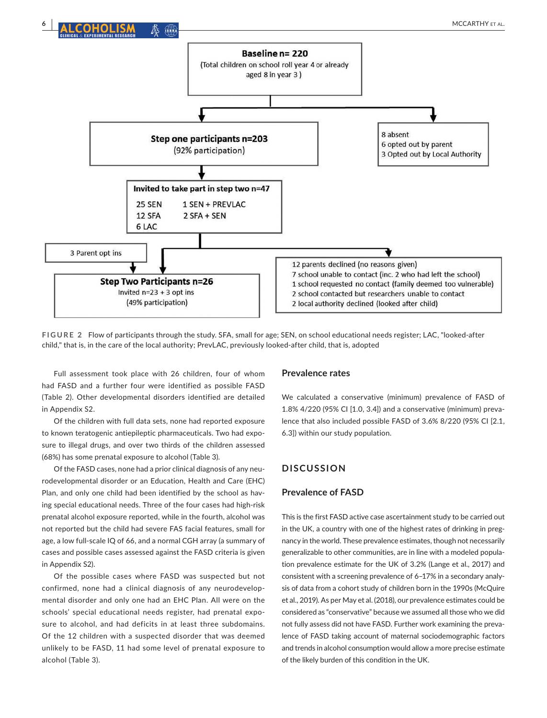

**FIGURE 2** Flow of participants through the study. SFA, small for age; SEN, on school educational needs register; LAC, "looked-after child," that is, in the care of the local authority; PrevLAC, previously looked-after child, that is, adopted

Full assessment took place with 26 children, four of whom had FASD and a further four were identified as possible FASD (Table 2). Other developmental disorders identified are detailed in Appendix S2.

Of the children with full data sets, none had reported exposure to known teratogenic antiepileptic pharmaceuticals. Two had exposure to illegal drugs, and over two thirds of the children assessed (68%) has some prenatal exposure to alcohol (Table 3).

Of the FASD cases, none had a prior clinical diagnosis of any neurodevelopmental disorder or an Education, Health and Care (EHC) Plan, and only one child had been identified by the school as having special educational needs. Three of the four cases had high-risk prenatal alcohol exposure reported, while in the fourth, alcohol was not reported but the child had severe FAS facial features, small for age, a low full-scale IQ of 66, and a normal CGH array (a summary of cases and possible cases assessed against the FASD criteria is given in Appendix S2).

Of the possible cases where FASD was suspected but not confirmed, none had a clinical diagnosis of any neurodevelopmental disorder and only one had an EHC Plan. All were on the schools' special educational needs register, had prenatal exposure to alcohol, and had deficits in at least three subdomains. Of the 12 children with a suspected disorder that was deemed unlikely to be FASD, 11 had some level of prenatal exposure to alcohol (Table 3).

#### **Prevalence rates**

We calculated a conservative (minimum) prevalence of FASD of 1.8% 4/220 (95% CI [1.0, 3.4]) and a conservative (minimum) prevalence that also included possible FASD of 3.6% 8/220 (95% CI [2.1, 6.3]) within our study population.

# **DISCUSSION**

# **Prevalence of FASD**

This is the first FASD active case ascertainment study to be carried out in the UK, a country with one of the highest rates of drinking in pregnancy in the world. These prevalence estimates, though not necessarily generalizable to other communities, are in line with a modeled population prevalence estimate for the UK of 3.2% (Lange et al., 2017) and consistent with a screening prevalence of 6–17% in a secondary analysis of data from a cohort study of children born in the 1990s (McQuire et al., 2019). As per May et al. (2018), our prevalence estimates could be considered as "conservative" because we assumed all those who we did not fully assess did not have FASD. Further work examining the prevalence of FASD taking account of maternal sociodemographic factors and trends in alcohol consumption would allow a more precise estimate of the likely burden of this condition in the UK.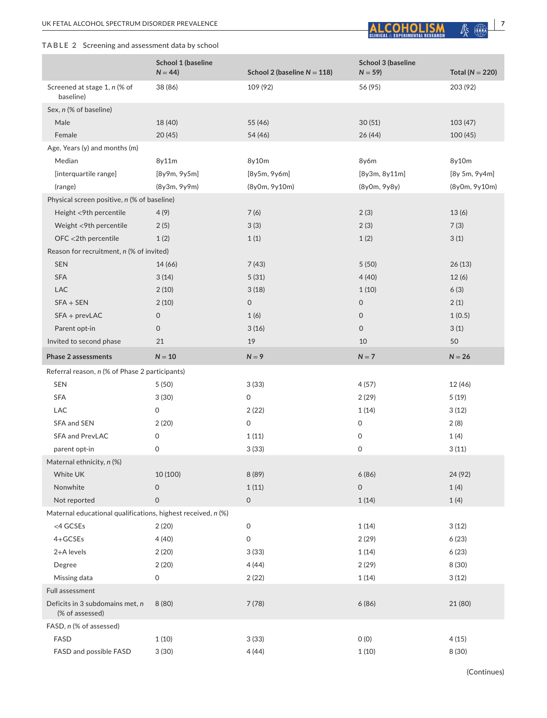# **TABLE 2** Screening and assessment data by school



|                                                              | School 1 (baseline<br>$N = 44$ ) | School 2 (baseline $N = 118$ ) | School 3 (baseline<br>$N = 59$ | Total ( $N = 220$ ) |  |  |  |  |  |
|--------------------------------------------------------------|----------------------------------|--------------------------------|--------------------------------|---------------------|--|--|--|--|--|
| Screened at stage 1, n (% of<br>baseline)                    | 38 (86)                          | 109 (92)                       | 56 (95)                        | 203 (92)            |  |  |  |  |  |
| Sex, n (% of baseline)                                       |                                  |                                |                                |                     |  |  |  |  |  |
| Male                                                         | 18 (40)                          | 55 (46)                        | 30(51)                         | 103(47)             |  |  |  |  |  |
| Female                                                       | 20(45)                           | 54 (46)                        | 26 (44)                        | 100(45)             |  |  |  |  |  |
| Age, Years (y) and months (m)                                |                                  |                                |                                |                     |  |  |  |  |  |
| Median                                                       | 8y11m                            | 8y10m                          | 8y6m                           | 8y10m               |  |  |  |  |  |
| [interquartile range]                                        | [8y9m, 9y5m]                     | [8y5m, 9y6m]                   | [8y3m, 8y11m]                  | [8y 5m, 9y 4m]      |  |  |  |  |  |
| (range)                                                      | (8y3m, 9y9m)                     | (8y0m, 9y10m)                  | (8y0m, 9y8y)                   | (8y0m, 9y10m)       |  |  |  |  |  |
| Physical screen positive, n (% of baseline)                  |                                  |                                |                                |                     |  |  |  |  |  |
| Height <9th percentile                                       | 4(9)                             | 7(6)                           | 2(3)                           | 13(6)               |  |  |  |  |  |
| Weight <9th percentile                                       | 2(5)                             | 3(3)                           | 2(3)                           | 7(3)                |  |  |  |  |  |
| OFC <2th percentile                                          | 1(2)                             | 1(1)                           | 1(2)                           | 3(1)                |  |  |  |  |  |
| Reason for recruitment, n (% of invited)                     |                                  |                                |                                |                     |  |  |  |  |  |
| SEN                                                          | 14 (66)                          | 7(43)                          | 5(50)                          | 26(13)              |  |  |  |  |  |
| <b>SFA</b>                                                   | 3(14)                            | 5(31)                          | 4(40)                          | 12(6)               |  |  |  |  |  |
| <b>LAC</b>                                                   | 2(10)                            | 3(18)                          | 1(10)                          | 6(3)                |  |  |  |  |  |
| $SFA + SEN$                                                  | 2(10)                            | $\mathsf{O}$                   | $\mathsf O$                    | 2(1)                |  |  |  |  |  |
| $SFA + prevLAC$                                              | $\mathbf 0$                      | 1(6)                           | $\mathbf{O}$                   | 1(0.5)              |  |  |  |  |  |
| Parent opt-in                                                | $\mathsf{O}$                     | 3(16)                          | $\mathsf{O}$                   | 3(1)                |  |  |  |  |  |
| Invited to second phase                                      | 21                               | 19                             | 10                             | 50                  |  |  |  |  |  |
| Phase 2 assessments                                          | $N = 10$                         | $N = 9$                        | $N = 7$                        | $N = 26$            |  |  |  |  |  |
| Referral reason, n (% of Phase 2 participants)               |                                  |                                |                                |                     |  |  |  |  |  |
| <b>SEN</b>                                                   | 5(50)                            | 3(33)                          | 4(57)                          | 12 (46)             |  |  |  |  |  |
| <b>SFA</b>                                                   | 3(30)                            | 0                              | 2(29)                          | 5(19)               |  |  |  |  |  |
| <b>LAC</b>                                                   | 0                                | 2(22)                          | 1(14)                          | 3(12)               |  |  |  |  |  |
| SFA and SEN                                                  | 2(20)                            | 0                              | 0                              | 2(8)                |  |  |  |  |  |
| <b>SFA and PrevLAC</b>                                       | 0                                | 1(11)                          | 0                              | 1(4)                |  |  |  |  |  |
| parent opt-in                                                | 0                                | 3(33)                          | 0                              | 3(11)               |  |  |  |  |  |
| Maternal ethnicity, n (%)                                    |                                  |                                |                                |                     |  |  |  |  |  |
| White UK                                                     | 10 (100)                         | 8 (89)                         | 6(86)                          | 24 (92)             |  |  |  |  |  |
| Nonwhite                                                     | 0                                | 1(11)                          | 0                              | 1(4)                |  |  |  |  |  |
| Not reported                                                 | $\mathsf{O}\xspace$              | $\mathsf{O}\xspace$            | 1(14)                          | 1(4)                |  |  |  |  |  |
| Maternal educational qualifications, highest received, n (%) |                                  |                                |                                |                     |  |  |  |  |  |
| <4 GCSEs                                                     | 2(20)                            | $\mathsf O$                    | 1(14)                          | 3(12)               |  |  |  |  |  |
| $4+GCSEs$                                                    | 4(40)                            | 0                              | 2(29)                          | 6(23)               |  |  |  |  |  |
| 2+A levels                                                   | 2(20)                            | 3(33)                          | 1(14)                          | 6(23)               |  |  |  |  |  |
| Degree                                                       | 2(20)                            | 4(44)                          | 2(29)                          | 8 (30)              |  |  |  |  |  |
| Missing data                                                 | 0                                | 2(22)                          | 1(14)                          | 3(12)               |  |  |  |  |  |
| Full assessment                                              |                                  |                                |                                |                     |  |  |  |  |  |
| Deficits in 3 subdomains met, n<br>(% of assessed)           | 8(80)                            | 7(78)                          | 6(86)                          | 21 (80)             |  |  |  |  |  |
| FASD, n (% of assessed)                                      |                                  |                                |                                |                     |  |  |  |  |  |
| <b>FASD</b>                                                  | 1(10)                            | 3(33)                          | 0(0)                           | 4(15)               |  |  |  |  |  |
| FASD and possible FASD                                       | 3(30)                            | 4(44)                          | 1(10)                          | 8 (30)              |  |  |  |  |  |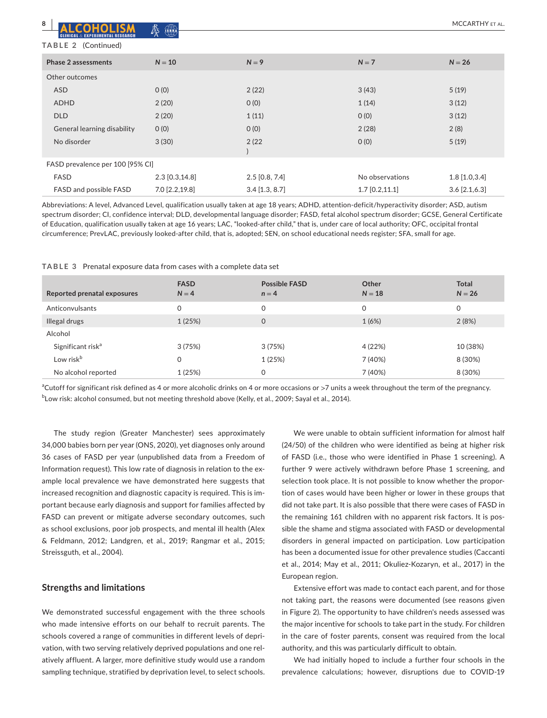| 8                                | $\begin{picture}(42,10) \put(0,0){\line(1,0){10}} \put(15,0){\line(1,0){10}} \put(15,0){\line(1,0){10}} \put(15,0){\line(1,0){10}} \put(15,0){\line(1,0){10}} \put(15,0){\line(1,0){10}} \put(15,0){\line(1,0){10}} \put(15,0){\line(1,0){10}} \put(15,0){\line(1,0){10}} \put(15,0){\line(1,0){10}} \put(15,0){\line(1,0){10}} \put(15,0){\line(1$<br>蜃 |                  |                  | MCCARTHY ET AL  |
|----------------------------------|----------------------------------------------------------------------------------------------------------------------------------------------------------------------------------------------------------------------------------------------------------------------------------------------------------------------------------------------------------|------------------|------------------|-----------------|
| TABLE 2 (Continued)              |                                                                                                                                                                                                                                                                                                                                                          |                  |                  |                 |
| <b>Phase 2 assessments</b>       | $N = 10$                                                                                                                                                                                                                                                                                                                                                 | $N = 9$          | $N = 7$          | $N = 26$        |
| Other outcomes                   |                                                                                                                                                                                                                                                                                                                                                          |                  |                  |                 |
| <b>ASD</b>                       | O(0)                                                                                                                                                                                                                                                                                                                                                     | 2(22)            | 3(43)            | 5(19)           |
| <b>ADHD</b>                      | 2(20)                                                                                                                                                                                                                                                                                                                                                    | O(0)             | 1(14)            | 3(12)           |
| <b>DLD</b>                       | 2(20)                                                                                                                                                                                                                                                                                                                                                    | 1(11)            | O(0)             | 3(12)           |
| General learning disability      | O(0)                                                                                                                                                                                                                                                                                                                                                     | O(0)             | 2(28)            | 2(8)            |
| No disorder                      | 3(30)                                                                                                                                                                                                                                                                                                                                                    | 2(22)            | O(0)             | 5(19)           |
| FASD prevalence per 100 [95% CI] |                                                                                                                                                                                                                                                                                                                                                          |                  |                  |                 |
| FASD                             | $2.3$ [0.3,14.8]                                                                                                                                                                                                                                                                                                                                         | $2.5$ [0.8, 7.4] | No observations  | $1.8$ [1.0,3.4] |
| FASD and possible FASD           | 7.0 [2.2,19.8]                                                                                                                                                                                                                                                                                                                                           | $3.4$ [1.3, 8.7] | $1.7$ [0.2,11.1] | $3.6$ [2.1,6.3] |

Abbreviations: A level, Advanced Level, qualification usually taken at age 18 years; ADHD, attention-deficit/hyperactivity disorder; ASD, autism spectrum disorder; CI, confidence interval; DLD, developmental language disorder; FASD, fetal alcohol spectrum disorder; GCSE, General Certificate of Education, qualification usually taken at age 16 years; LAC, "looked-after child," that is, under care of local authority; OFC, occipital frontal circumference; PrevLAC, previously looked-after child, that is, adopted; SEN, on school educational needs register; SFA, small for age.

|  |  |  | TABLE 3 Prenatal exposure data from cases with a complete data set |  |  |  |  |  |  |  |  |
|--|--|--|--------------------------------------------------------------------|--|--|--|--|--|--|--|--|
|--|--|--|--------------------------------------------------------------------|--|--|--|--|--|--|--|--|

| Reported prenatal exposures   | <b>FASD</b><br>$N = 4$ | <b>Possible FASD</b><br>$n = 4$ | Other<br>$N = 18$ | <b>Total</b><br>$N = 26$ |
|-------------------------------|------------------------|---------------------------------|-------------------|--------------------------|
| Anticonvulsants               | 0                      | $\Omega$                        | 0                 | 0                        |
| Illegal drugs                 | 1(25%)                 | $\mathbf 0$                     | 1(6%)             | 2(8%)                    |
| Alcohol                       |                        |                                 |                   |                          |
| Significant risk <sup>a</sup> | 3(75%)                 | 3 (75%)                         | 4 (22%)           | 10 (38%)                 |
| Low risk <sup>b</sup>         | 0                      | 1(25%)                          | 7 (40%)           | 8 (30%)                  |
| No alcohol reported           | 1(25%)                 | 0                               | 7 (40%)           | 8 (30%)                  |

 $^{\rm a}$ Cutoff for significant risk defined as 4 or more alcoholic drinks on 4 or more occasions or  $>7$  units a week throughout the term of the pregnancy.  $^{\rm b}$ Low risk: alcohol consumed, but not meeting threshold above (Kelly, et al., 2009; Sayal et al., 2014).

The study region (Greater Manchester) sees approximately 34,000 babies born per year (ONS, 2020), yet diagnoses only around 36 cases of FASD per year (unpublished data from a Freedom of Information request). This low rate of diagnosis in relation to the example local prevalence we have demonstrated here suggests that increased recognition and diagnostic capacity is required. This is important because early diagnosis and support for families affected by FASD can prevent or mitigate adverse secondary outcomes, such as school exclusions, poor job prospects, and mental ill health (Alex & Feldmann, 2012; Landgren, et al., 2019; Rangmar et al., 2015; Streissguth, et al., 2004).

# **Strengths and limitations**

We demonstrated successful engagement with the three schools who made intensive efforts on our behalf to recruit parents. The schools covered a range of communities in different levels of deprivation, with two serving relatively deprived populations and one relatively affluent. A larger, more definitive study would use a random sampling technique, stratified by deprivation level, to select schools.

We were unable to obtain sufficient information for almost half (24/50) of the children who were identified as being at higher risk of FASD (i.e., those who were identified in Phase 1 screening). A further 9 were actively withdrawn before Phase 1 screening, and selection took place. It is not possible to know whether the proportion of cases would have been higher or lower in these groups that did not take part. It is also possible that there were cases of FASD in the remaining 161 children with no apparent risk factors. It is possible the shame and stigma associated with FASD or developmental disorders in general impacted on participation. Low participation has been a documented issue for other prevalence studies (Caccanti et al., 2014; May et al., 2011; Okuliez-Kozaryn, et al., 2017) in the European region.

Extensive effort was made to contact each parent, and for those not taking part, the reasons were documented (see reasons given in Figure 2). The opportunity to have children's needs assessed was the major incentive for schools to take part in the study. For children in the care of foster parents, consent was required from the local authority, and this was particularly difficult to obtain.

We had initially hoped to include a further four schools in the prevalence calculations; however, disruptions due to COVID-19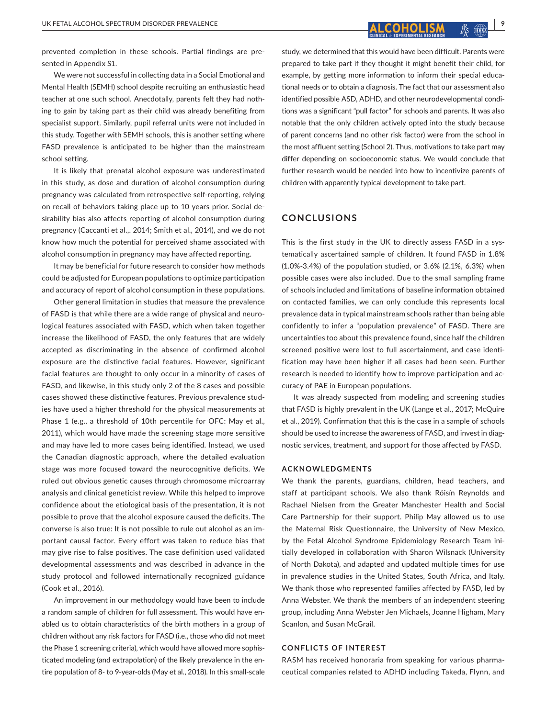prevented completion in these schools. Partial findings are presented in Appendix S1.

We were not successful in collecting data in a Social Emotional and Mental Health (SEMH) school despite recruiting an enthusiastic head teacher at one such school. Anecdotally, parents felt they had nothing to gain by taking part as their child was already benefiting from specialist support. Similarly, pupil referral units were not included in this study. Together with SEMH schools, this is another setting where FASD prevalence is anticipated to be higher than the mainstream school setting.

It is likely that prenatal alcohol exposure was underestimated in this study, as dose and duration of alcohol consumption during pregnancy was calculated from retrospective self-reporting, relying on recall of behaviors taking place up to 10 years prior. Social desirability bias also affects reporting of alcohol consumption during pregnancy (Caccanti et al.,. 2014; Smith et al., 2014), and we do not know how much the potential for perceived shame associated with alcohol consumption in pregnancy may have affected reporting.

It may be beneficial for future research to consider how methods could be adjusted for European populations to optimize participation and accuracy of report of alcohol consumption in these populations.

Other general limitation in studies that measure the prevalence of FASD is that while there are a wide range of physical and neurological features associated with FASD, which when taken together increase the likelihood of FASD, the only features that are widely accepted as discriminating in the absence of confirmed alcohol exposure are the distinctive facial features. However, significant facial features are thought to only occur in a minority of cases of FASD, and likewise, in this study only 2 of the 8 cases and possible cases showed these distinctive features. Previous prevalence studies have used a higher threshold for the physical measurements at Phase 1 (e.g., a threshold of 10th percentile for OFC: May et al., 2011), which would have made the screening stage more sensitive and may have led to more cases being identified. Instead, we used the Canadian diagnostic approach, where the detailed evaluation stage was more focused toward the neurocognitive deficits. We ruled out obvious genetic causes through chromosome microarray analysis and clinical geneticist review. While this helped to improve confidence about the etiological basis of the presentation, it is not possible to prove that the alcohol exposure caused the deficits. The converse is also true: It is not possible to rule out alcohol as an important causal factor. Every effort was taken to reduce bias that may give rise to false positives. The case definition used validated developmental assessments and was described in advance in the study protocol and followed internationally recognized guidance (Cook et al., 2016).

An improvement in our methodology would have been to include a random sample of children for full assessment. This would have enabled us to obtain characteristics of the birth mothers in a group of children without any risk factors for FASD (i.e., those who did not meet the Phase 1 screening criteria), which would have allowed more sophisticated modeling (and extrapolation) of the likely prevalence in the entire population of 8- to 9-year-olds (May et al., 2018). In this small-scale

study, we determined that this would have been difficult. Parents were prepared to take part if they thought it might benefit their child, for example, by getting more information to inform their special educational needs or to obtain a diagnosis. The fact that our assessment also identified possible ASD, ADHD, and other neurodevelopmental conditions was a significant "pull factor" for schools and parents. It was also notable that the only children actively opted into the study because of parent concerns (and no other risk factor) were from the school in the most affluent setting (School 2). Thus, motivations to take part may differ depending on socioeconomic status. We would conclude that further research would be needed into how to incentivize parents of children with apparently typical development to take part.

# **CONCLUSIONS**

This is the first study in the UK to directly assess FASD in a systematically ascertained sample of children. It found FASD in 1.8% (1.0%-3.4%) of the population studied, or 3.6% (2.1%, 6.3%) when possible cases were also included. Due to the small sampling frame of schools included and limitations of baseline information obtained on contacted families, we can only conclude this represents local prevalence data in typical mainstream schools rather than being able confidently to infer a "population prevalence" of FASD. There are uncertainties too about this prevalence found, since half the children screened positive were lost to full ascertainment, and case identification may have been higher if all cases had been seen. Further research is needed to identify how to improve participation and accuracy of PAE in European populations.

It was already suspected from modeling and screening studies that FASD is highly prevalent in the UK (Lange et al., 2017; McQuire et al., 2019). Confirmation that this is the case in a sample of schools should be used to increase the awareness of FASD, and invest in diagnostic services, treatment, and support for those affected by FASD.

# **ACKNOWLEDGMENTS**

We thank the parents, guardians, children, head teachers, and staff at participant schools. We also thank Róisín Reynolds and Rachael Nielsen from the Greater Manchester Health and Social Care Partnership for their support. Philip May allowed us to use the Maternal Risk Questionnaire, the University of New Mexico, by the Fetal Alcohol Syndrome Epidemiology Research Team initially developed in collaboration with Sharon Wilsnack (University of North Dakota), and adapted and updated multiple times for use in prevalence studies in the United States, South Africa, and Italy. We thank those who represented families affected by FASD, led by Anna Webster. We thank the members of an independent steering group, including Anna Webster Jen Michaels, Joanne Higham, Mary Scanlon, and Susan McGrail.

#### **CONFLICTS OF INTEREST**

RASM has received honoraria from speaking for various pharmaceutical companies related to ADHD including Takeda, Flynn, and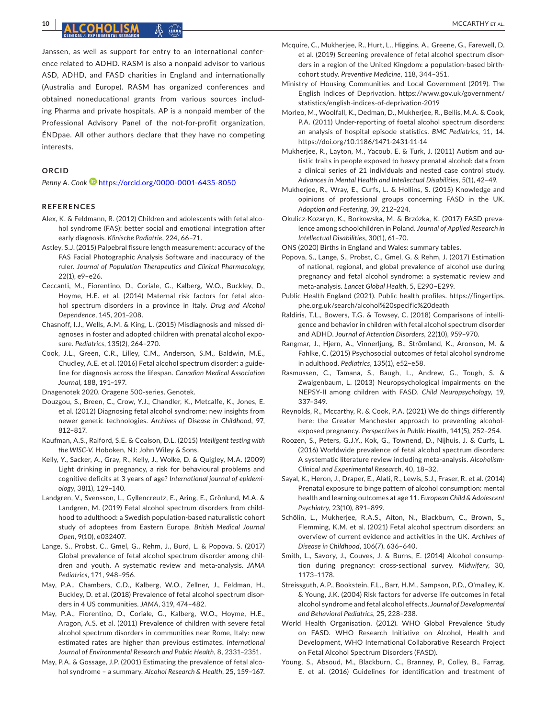**10 <sup>|</sup>**  MCCARTHY et al.

Janssen, as well as support for entry to an international conference related to ADHD. RASM is also a nonpaid advisor to various ASD, ADHD, and FASD charities in England and internationally (Australia and Europe). RASM has organized conferences and obtained noneducational grants from various sources including Pharma and private hospitals. AP is a nonpaid member of the Professional Advisory Panel of the not-for-profit organization, ÉNDpae. All other authors declare that they have no competing interests.

# **ORCID**

Penny A. Cook <sup>1</sup> <https://orcid.org/0000-0001-6435-8050>

# **REFERENCES**

- Alex, K. & Feldmann, R. (2012) Children and adolescents with fetal alcohol syndrome (FAS): better social and emotional integration after early diagnosis. *Klinische Padiatrie*, 224, 66–71.
- Astley, S.J. (2015) Palpebral fissure length measurement: accuracy of the FAS Facial Photographic Analysis Software and inaccuracy of the ruler. *Journal of Population Therapeutics and Clinical Pharmacology*, 22(1), e9–e26.
- Ceccanti, M., Fiorentino, D., Coriale, G., Kalberg, W.O., Buckley, D., Hoyme, H.E. et al. (2014) Maternal risk factors for fetal alcohol spectrum disorders in a province in Italy. *Drug and Alcohol Dependence*, 145, 201–208.
- Chasnoff, I.J., Wells, A.M. & King, L. (2015) Misdiagnosis and missed diagnoses in foster and adopted children with prenatal alcohol exposure. *Pediatrics*, 135(2), 264–270.
- Cook, J.L., Green, C.R., Lilley, C.M., Anderson, S.M., Baldwin, M.E., Chudley, A.E. et al. (2016) Fetal alcohol spectrum disorder: a guideline for diagnosis across the lifespan. *Canadian Medical Association Journal*, 188, 191–197.
- Dnagenotek 2020. Oragene 500-series. Genotek.
- Douzgou, S., Breen, C., Crow, Y.J., Chandler, K., Metcalfe, K., Jones, E. et al. (2012) Diagnosing fetal alcohol syndrome: new insights from newer genetic technologies. *Archives of Disease in Childhood*, 97, 812–817.
- Kaufman, A.S., Raiford, S.E. & Coalson, D.L. (2015) *Intelligent testing with the WISC-V*. Hoboken, NJ: John Wiley & Sons.
- Kelly, Y., Sacker, A., Gray, R., Kelly, J., Wolke, D. & Quigley, M.A. (2009) Light drinking in pregnancy, a risk for behavioural problems and cognitive deficits at 3 years of age? *International journal of epidemiology*, 38(1), 129–140.
- Landgren, V., Svensson, L., Gyllencreutz, E., Aring, E., Grönlund, M.A. & Landgren, M. (2019) Fetal alcohol spectrum disorders from childhood to adulthood: a Swedish population-based naturalistic cohort study of adoptees from Eastern Europe. *British Medical Journal Open*, 9(10), e032407.
- Lange, S., Probst, C., Gmel, G., Rehm, J., Burd, L. & Popova, S. (2017) Global prevalence of fetal alcohol spectrum disorder among children and youth. A systematic review and meta-analysis. *JAMA Pediatrics*, 171, 948–956.
- May, P.A., Chambers, C.D., Kalberg, W.O., Zellner, J., Feldman, H., Buckley, D. et al. (2018) Prevalence of fetal alcohol spectrum disorders in 4 US communities. *JAMA*, 319, 474–482.
- May, P.A., Fiorentino, D., Coriale, G., Kalberg, W.O., Hoyme, H.E., Aragon, A.S. et al. (2011) Prevalence of children with severe fetal alcohol spectrum disorders in communities near Rome, Italy: new estimated rates are higher than previous estimates. *International Journal of Environmental Research and Public Health*, 8, 2331–2351.
- May, P.A. & Gossage, J.P. (2001) Estimating the prevalence of fetal alcohol syndrome – a summary. *Alcohol Research & Health*, 25, 159–167.
- Mcquire, C., Mukherjee, R., Hurt, L., Higgins, A., Greene, G., Farewell, D. et al. (2019) Screening prevalence of fetal alcohol spectrum disorders in a region of the United Kingdom: a population-based birthcohort study. *Preventive Medicine*, 118, 344–351.
- Ministry of Housing Communities and Local Government (2019). The English Indices of Deprivation. [https://www.gov.uk/government/](https://www.gov.uk/government/statistics/english-indices-of-deprivation-2019) [statistics/english-indices-of-deprivation-2019](https://www.gov.uk/government/statistics/english-indices-of-deprivation-2019)
- Morleo, M., Woolfall, K., Dedman, D., Mukherjee, R., Bellis, M.A. & Cook, P.A. (2011) Under-reporting of foetal alcohol spectrum disorders: an analysis of hospital episode statistics. *BMC Pediatrics*, 11, 14. <https://doi.org/10.1186/1471-2431-11-14>
- Mukherjee, R., Layton, M., Yacoub, E. & Turk, J. (2011) Autism and autistic traits in people exposed to heavy prenatal alcohol: data from a clinical series of 21 individuals and nested case control study. *Advances in Mental Health and Intellectual Disabilities*, 5(1), 42–49.
- Mukherjee, R., Wray, E., Curfs, L. & Hollins, S. (2015) Knowledge and opinions of professional groups concerning FASD in the UK. *Adoption and Fostering*, 39, 212–224.
- Okulicz-Kozaryn, K., Borkowska, M. & Brzózka, K. (2017) FASD prevalence among schoolchildren in Poland. *Journal of Applied Research in Intellectual Disabilities*, 30(1), 61–70.

ONS (2020) Births in England and Wales: summary tables.

- Popova, S., Lange, S., Probst, C., Gmel, G. & Rehm, J. (2017) Estimation of national, regional, and global prevalence of alcohol use during pregnancy and fetal alcohol syndrome: a systematic review and meta-analysis. *Lancet Global Health*, 5, E290–E299.
- Public Health England (2021). Public health profiles. [https://fingertips.](https://fingertips.phe.org.uk/search/alcohol specific death) [phe.org.uk/search/alcohol%20specific%20death](https://fingertips.phe.org.uk/search/alcohol specific death)
- Raldiris, T.L., Bowers, T.G. & Towsey, C. (2018) Comparisons of intelligence and behavior in children with fetal alcohol spectrum disorder and ADHD. *Journal of Attention Disorders*, 22(10), 959–970.
- Rangmar, J., Hjern, A., Vinnerljung, B., Strömland, K., Aronson, M. & Fahlke, C. (2015) Psychosocial outcomes of fetal alcohol syndrome in adulthood. *Pediatrics*, 135(1), e52–e58.
- Rasmussen, C., Tamana, S., Baugh, L., Andrew, G., Tough, S. & Zwaigenbaum, L. (2013) Neuropsychological impairments on the NEPSY-II among children with FASD. *Child Neuropsychology*, 19, 337–349.
- Reynolds, R., Mccarthy, R. & Cook, P.A. (2021) We do things differently here: the Greater Manchester approach to preventing alcoholexposed pregnancy. *Perspectives in Public Health*, 141(5), 252–254.
- Roozen, S., Peters, G.J.Y., Kok, G., Townend, D., Nijhuis, J. & Curfs, L. (2016) Worldwide prevalence of fetal alcohol spectrum disorders: A systematic literature review including meta-analysis. *Alcoholism-Clinical and Experimental Research*, 40, 18–32.
- Sayal, K., Heron, J., Draper, E., Alati, R., Lewis, S.J., Fraser, R. et al. (2014) Prenatal exposure to binge pattern of alcohol consumption: mental health and learning outcomes at age 11. *European Child & Adolescent Psychiatry*, 23(10), 891–899.
- Schölin, L., Mukherjee, R.A.S., Aiton, N., Blackburn, C., Brown, S., Flemming, K.M. et al. (2021) Fetal alcohol spectrum disorders: an overview of current evidence and activities in the UK. *Archives of Disease in Childhood*, 106(7), 636–640.
- Smith, L., Savory, J., Couves, J. & Burns, E. (2014) Alcohol consumption during pregnancy: cross-sectional survey. *Midwifery*, 30, 1173–1178.
- Streissguth, A.P., Bookstein, F.L., Barr, H.M., Sampson, P.D., O'malley, K. & Young, J.K. (2004) Risk factors for adverse life outcomes in fetal alcohol syndrome and fetal alcohol effects. *Journal of Developmental and Behavioral Pediatrics*, 25, 228–238.
- World Health Organisation. (2012). WHO Global Prevalence Study on FASD. WHO Research Initiative on Alcohol, Health and Development, WHO International Collaborative Research Project on Fetal Alcohol Spectrum Disorders (FASD).
- Young, S., Absoud, M., Blackburn, C., Branney, P., Colley, B., Farrag, E. et al. (2016) Guidelines for identification and treatment of